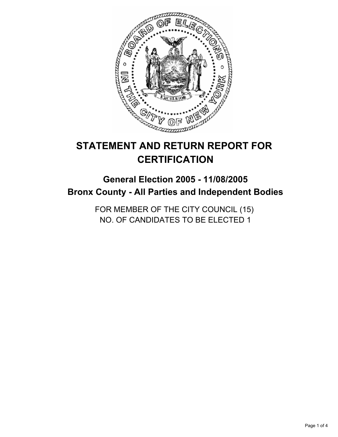

# **STATEMENT AND RETURN REPORT FOR CERTIFICATION**

# **General Election 2005 - 11/08/2005 Bronx County - All Parties and Independent Bodies**

FOR MEMBER OF THE CITY COUNCIL (15) NO. OF CANDIDATES TO BE ELECTED 1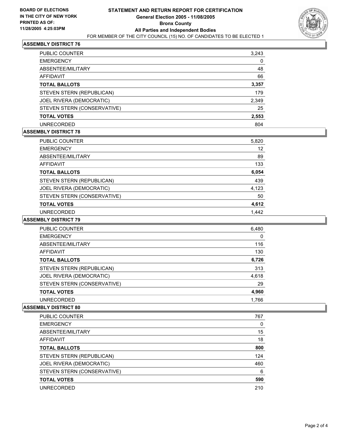

# **ASSEMBLY DISTRICT 76**

| PUBLIC COUNTER              | 3,243 |  |
|-----------------------------|-------|--|
| <b>EMERGENCY</b>            | 0     |  |
| ABSENTEE/MILITARY           | 48    |  |
| <b>AFFIDAVIT</b>            | 66    |  |
| <b>TOTAL BALLOTS</b>        | 3,357 |  |
| STEVEN STERN (REPUBLICAN)   | 179   |  |
| JOEL RIVERA (DEMOCRATIC)    | 2,349 |  |
| STEVEN STERN (CONSERVATIVE) | 25    |  |
| <b>TOTAL VOTES</b>          | 2,553 |  |
| <b>UNRECORDED</b>           | 804   |  |

#### **ASSEMBLY DISTRICT 78**

| <b>PUBLIC COUNTER</b>       | 5,820 |
|-----------------------------|-------|
| <b>EMERGENCY</b>            | 12    |
| ABSENTEE/MILITARY           | 89    |
| AFFIDAVIT                   | 133   |
| <b>TOTAL BALLOTS</b>        | 6,054 |
| STEVEN STERN (REPUBLICAN)   | 439   |
| JOEL RIVERA (DEMOCRATIC)    | 4,123 |
| STEVEN STERN (CONSERVATIVE) | 50    |
| <b>TOTAL VOTES</b>          | 4,612 |
| <b>UNRECORDED</b>           | 1.442 |

#### **ASSEMBLY DISTRICT 79**

| <b>PUBLIC COUNTER</b>       | 6,480 |  |
|-----------------------------|-------|--|
| <b>EMERGENCY</b>            | 0     |  |
| ABSENTEE/MILITARY           | 116   |  |
| AFFIDAVIT                   | 130   |  |
| <b>TOTAL BALLOTS</b>        | 6,726 |  |
| STEVEN STERN (REPUBLICAN)   | 313   |  |
| JOEL RIVERA (DEMOCRATIC)    | 4,618 |  |
| STEVEN STERN (CONSERVATIVE) | 29    |  |
| <b>TOTAL VOTES</b>          | 4,960 |  |
| <b>UNRECORDED</b>           | 1,766 |  |

#### **ASSEMBLY DISTRICT 80**

| <b>PUBLIC COUNTER</b>       | 767 |
|-----------------------------|-----|
| <b>EMERGENCY</b>            |     |
| ABSENTEE/MILITARY           | 15  |
| AFFIDAVIT                   | 18  |
| <b>TOTAL BALLOTS</b>        | 800 |
| STEVEN STERN (REPUBLICAN)   | 124 |
| JOEL RIVERA (DEMOCRATIC)    | 460 |
| STEVEN STERN (CONSERVATIVE) | 6   |
| <b>TOTAL VOTES</b>          | 590 |
| <b>UNRECORDED</b>           | 210 |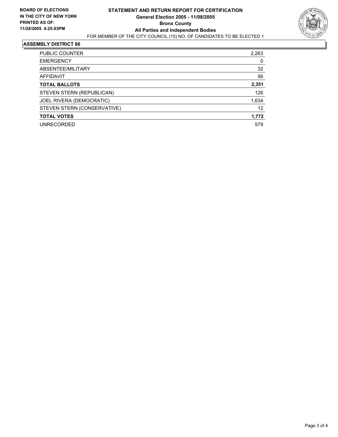

#### **ASSEMBLY DISTRICT 86**

| PUBLIC COUNTER              | 2,263 |
|-----------------------------|-------|
| <b>EMERGENCY</b>            | 0     |
| ABSENTEE/MILITARY           | 32    |
| AFFIDAVIT                   | 56    |
| <b>TOTAL BALLOTS</b>        | 2,351 |
| STEVEN STERN (REPUBLICAN)   | 126   |
| JOEL RIVERA (DEMOCRATIC)    | 1,634 |
| STEVEN STERN (CONSERVATIVE) | 12    |
| <b>TOTAL VOTES</b>          | 1,772 |
| <b>UNRECORDED</b>           | 579   |